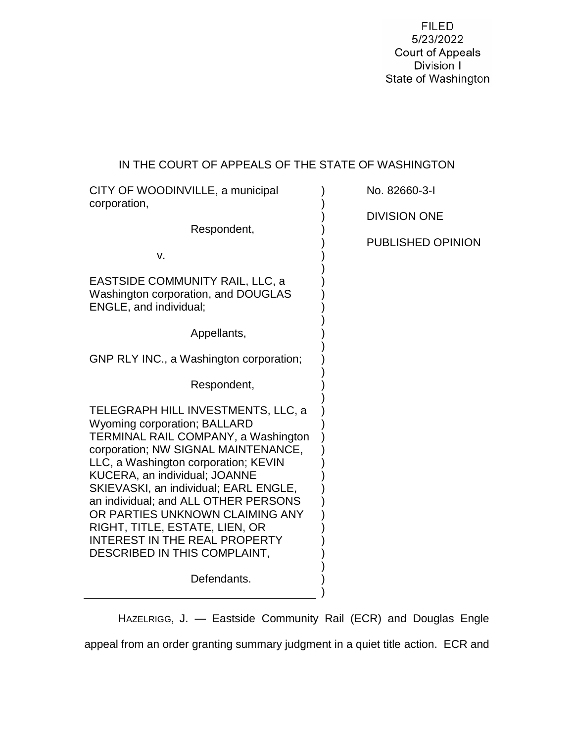**FILED** 5/23/2022 Court of Appeals Division I State of Washington

# IN THE COURT OF APPEALS OF THE STATE OF WASHINGTON

| CITY OF WOODINVILLE, a municipal<br>corporation,                                                                                                                                                                                                                                                                                                                                                                                                                      | No. 82660-3-I            |
|-----------------------------------------------------------------------------------------------------------------------------------------------------------------------------------------------------------------------------------------------------------------------------------------------------------------------------------------------------------------------------------------------------------------------------------------------------------------------|--------------------------|
| Respondent,                                                                                                                                                                                                                                                                                                                                                                                                                                                           | <b>DIVISION ONE</b>      |
|                                                                                                                                                                                                                                                                                                                                                                                                                                                                       | <b>PUBLISHED OPINION</b> |
| v.                                                                                                                                                                                                                                                                                                                                                                                                                                                                    |                          |
| EASTSIDE COMMUNITY RAIL, LLC, a<br>Washington corporation, and DOUGLAS<br><b>ENGLE, and individual;</b>                                                                                                                                                                                                                                                                                                                                                               |                          |
| Appellants,                                                                                                                                                                                                                                                                                                                                                                                                                                                           |                          |
| GNP RLY INC., a Washington corporation;                                                                                                                                                                                                                                                                                                                                                                                                                               |                          |
| Respondent,                                                                                                                                                                                                                                                                                                                                                                                                                                                           |                          |
| TELEGRAPH HILL INVESTMENTS, LLC, a<br><b>Wyoming corporation; BALLARD</b><br>TERMINAL RAIL COMPANY, a Washington<br>corporation; NW SIGNAL MAINTENANCE,<br>LLC, a Washington corporation; KEVIN<br><b>KUCERA, an individual; JOANNE</b><br>SKIEVASKI, an individual; EARL ENGLE,<br>an individual; and ALL OTHER PERSONS<br>OR PARTIES UNKNOWN CLAIMING ANY<br>RIGHT, TITLE, ESTATE, LIEN, OR<br><b>INTEREST IN THE REAL PROPERTY</b><br>DESCRIBED IN THIS COMPLAINT, |                          |
| Defendants.                                                                                                                                                                                                                                                                                                                                                                                                                                                           |                          |

HAZELRIGG, J. — Eastside Community Rail (ECR) and Douglas Engle appeal from an order granting summary judgment in a quiet title action. ECR and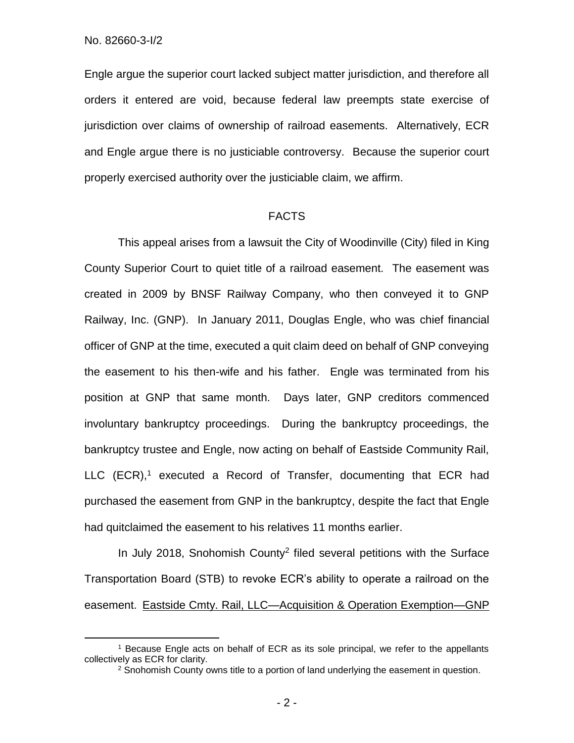$\overline{a}$ 

Engle argue the superior court lacked subject matter jurisdiction, and therefore all orders it entered are void, because federal law preempts state exercise of jurisdiction over claims of ownership of railroad easements. Alternatively, ECR and Engle argue there is no justiciable controversy. Because the superior court properly exercised authority over the justiciable claim, we affirm.

#### FACTS

This appeal arises from a lawsuit the City of Woodinville (City) filed in King County Superior Court to quiet title of a railroad easement. The easement was created in 2009 by BNSF Railway Company, who then conveyed it to GNP Railway, Inc. (GNP). In January 2011, Douglas Engle, who was chief financial officer of GNP at the time, executed a quit claim deed on behalf of GNP conveying the easement to his then-wife and his father. Engle was terminated from his position at GNP that same month. Days later, GNP creditors commenced involuntary bankruptcy proceedings. During the bankruptcy proceedings, the bankruptcy trustee and Engle, now acting on behalf of Eastside Community Rail, LLC (ECR), <sup>1</sup> executed a Record of Transfer, documenting that ECR had purchased the easement from GNP in the bankruptcy, despite the fact that Engle had quitclaimed the easement to his relatives 11 months earlier.

In July 2018, Snohomish County<sup>2</sup> filed several petitions with the Surface Transportation Board (STB) to revoke ECR's ability to operate a railroad on the easement. Eastside Cmty. Rail, LLC—Acquisition & Operation Exemption—GNP

<sup>1</sup> Because Engle acts on behalf of ECR as its sole principal, we refer to the appellants collectively as ECR for clarity.

<sup>&</sup>lt;sup>2</sup> Snohomish County owns title to a portion of land underlying the easement in question.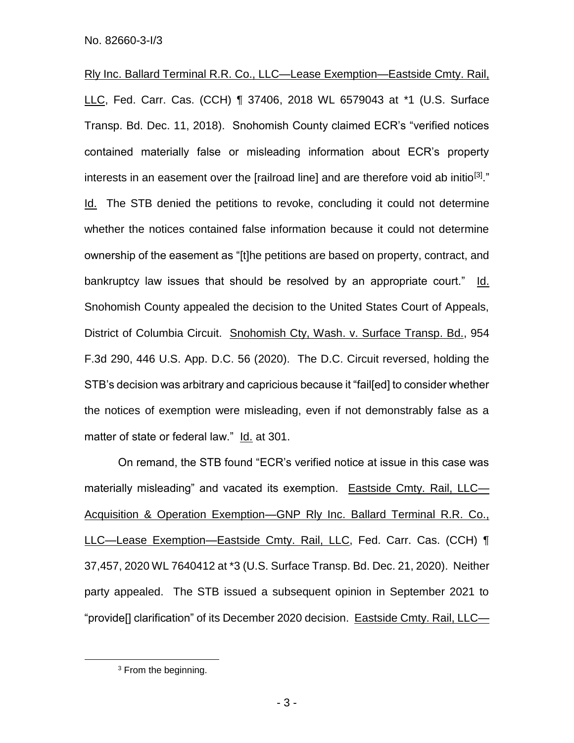Rly Inc. Ballard Terminal R.R. Co., LLC—Lease Exemption—Eastside Cmty. Rail, LLC, Fed. Carr. Cas. (CCH) ¶ 37406, 2018 WL 6579043 at \*1 (U.S. Surface Transp. Bd. Dec. 11, 2018). Snohomish County claimed ECR's "verified notices contained materially false or misleading information about ECR's property interests in an easement over the [railroad line] and are therefore void ab initio<sup>[3]</sup>." Id. The STB denied the petitions to revoke, concluding it could not determine whether the notices contained false information because it could not determine ownership of the easement as "[t]he petitions are based on property, contract, and bankruptcy law issues that should be resolved by an appropriate court." Id. Snohomish County appealed the decision to the United States Court of Appeals, District of Columbia Circuit. Snohomish Cty, Wash. v. Surface Transp. Bd., 954 F.3d 290, 446 U.S. App. D.C. 56 (2020). The D.C. Circuit reversed, holding the STB's decision was arbitrary and capricious because it "fail[ed] to consider whether the notices of exemption were misleading, even if not demonstrably false as a matter of state or federal law." Id. at 301.

On remand, the STB found "ECR's verified notice at issue in this case was materially misleading" and vacated its exemption. Eastside Cmty. Rail, LLC— Acquisition & Operation Exemption—GNP Rly Inc. Ballard Terminal R.R. Co., LLC—Lease Exemption—Eastside Cmty. Rail, LLC, Fed. Carr. Cas. (CCH) ¶ 37,457, 2020 WL 7640412 at \*3 (U.S. Surface Transp. Bd. Dec. 21, 2020). Neither party appealed. The STB issued a subsequent opinion in September 2021 to "provide[] clarification" of its December 2020 decision. Eastside Cmty. Rail, LLC—

 $\overline{a}$ 

<sup>3</sup> From the beginning.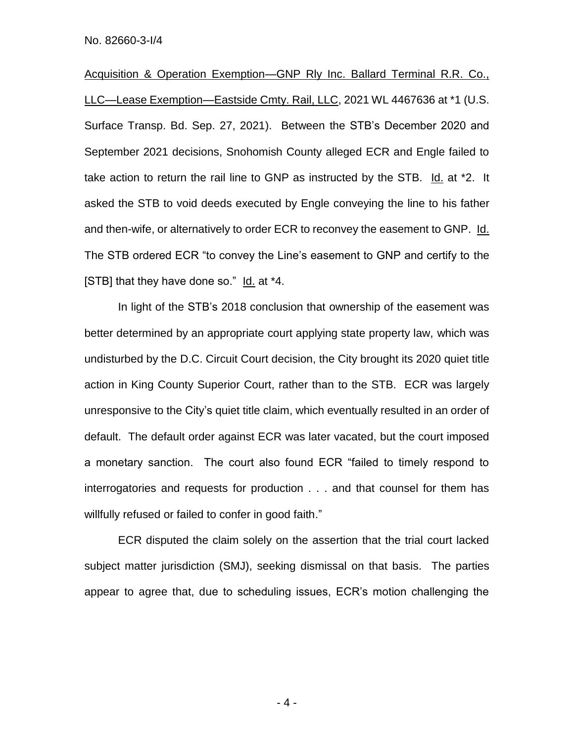Acquisition & Operation Exemption—GNP Rly Inc. Ballard Terminal R.R. Co., LLC—Lease Exemption—Eastside Cmty. Rail, LLC, 2021 WL 4467636 at \*1 (U.S. Surface Transp. Bd. Sep. 27, 2021). Between the STB's December 2020 and September 2021 decisions, Snohomish County alleged ECR and Engle failed to take action to return the rail line to GNP as instructed by the STB. Id. at \*2. It asked the STB to void deeds executed by Engle conveying the line to his father and then-wife, or alternatively to order ECR to reconvey the easement to GNP. Id. The STB ordered ECR "to convey the Line's easement to GNP and certify to the [STB] that they have done so." Id. at \*4.

In light of the STB's 2018 conclusion that ownership of the easement was better determined by an appropriate court applying state property law, which was undisturbed by the D.C. Circuit Court decision, the City brought its 2020 quiet title action in King County Superior Court, rather than to the STB. ECR was largely unresponsive to the City's quiet title claim, which eventually resulted in an order of default. The default order against ECR was later vacated, but the court imposed a monetary sanction. The court also found ECR "failed to timely respond to interrogatories and requests for production . . . and that counsel for them has willfully refused or failed to confer in good faith."

ECR disputed the claim solely on the assertion that the trial court lacked subject matter jurisdiction (SMJ), seeking dismissal on that basis. The parties appear to agree that, due to scheduling issues, ECR's motion challenging the

- 4 -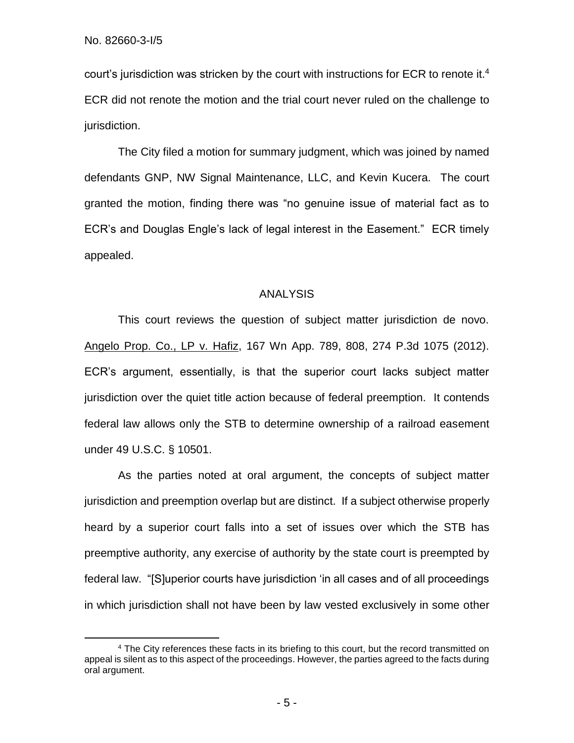$\overline{a}$ 

court's jurisdiction was stricken by the court with instructions for ECR to renote it.<sup>4</sup> ECR did not renote the motion and the trial court never ruled on the challenge to jurisdiction.

The City filed a motion for summary judgment, which was joined by named defendants GNP, NW Signal Maintenance, LLC, and Kevin Kucera. The court granted the motion, finding there was "no genuine issue of material fact as to ECR's and Douglas Engle's lack of legal interest in the Easement." ECR timely appealed.

#### ANALYSIS

This court reviews the question of subject matter jurisdiction de novo. Angelo Prop. Co., LP v. Hafiz, 167 Wn App. 789, 808, 274 P.3d 1075 (2012). ECR's argument, essentially, is that the superior court lacks subject matter jurisdiction over the quiet title action because of federal preemption. It contends federal law allows only the STB to determine ownership of a railroad easement under 49 U.S.C. § 10501.

As the parties noted at oral argument, the concepts of subject matter jurisdiction and preemption overlap but are distinct. If a subject otherwise properly heard by a superior court falls into a set of issues over which the STB has preemptive authority, any exercise of authority by the state court is preempted by federal law. "[S]uperior courts have jurisdiction 'in all cases and of all proceedings in which jurisdiction shall not have been by law vested exclusively in some other

<sup>4</sup> The City references these facts in its briefing to this court, but the record transmitted on appeal is silent as to this aspect of the proceedings. However, the parties agreed to the facts during oral argument.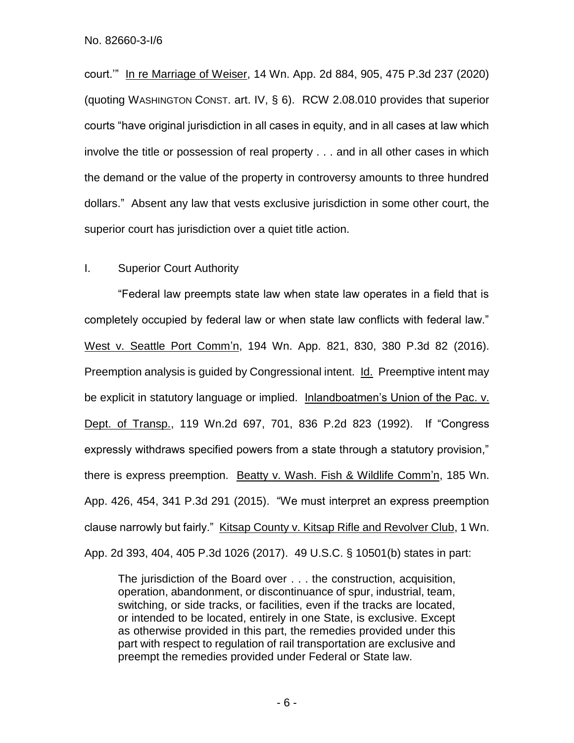court.'" In re Marriage of Weiser, 14 Wn. App. 2d 884, 905, 475 P.3d 237 (2020) (quoting WASHINGTON CONST. art. IV, § 6). RCW 2.08.010 provides that superior courts "have original jurisdiction in all cases in equity, and in all cases at law which involve the title or possession of real property . . . and in all other cases in which the demand or the value of the property in controversy amounts to three hundred dollars." Absent any law that vests exclusive jurisdiction in some other court, the superior court has jurisdiction over a quiet title action.

### I. Superior Court Authority

"Federal law preempts state law when state law operates in a field that is completely occupied by federal law or when state law conflicts with federal law." West v. Seattle Port Comm'n, 194 Wn. App. 821, 830, 380 P.3d 82 (2016). Preemption analysis is guided by Congressional intent. Id. Preemptive intent may be explicit in statutory language or implied. Inlandboatmen's Union of the Pac. v. Dept. of Transp., 119 Wn.2d 697, 701, 836 P.2d 823 (1992). If "Congress expressly withdraws specified powers from a state through a statutory provision," there is express preemption. Beatty v. Wash. Fish & Wildlife Comm'n, 185 Wn. App. 426, 454, 341 P.3d 291 (2015). "We must interpret an express preemption clause narrowly but fairly." Kitsap County v. Kitsap Rifle and Revolver Club, 1 Wn. App. 2d 393, 404, 405 P.3d 1026 (2017). 49 U.S.C. § 10501(b) states in part:

The jurisdiction of the Board over . . . the construction, acquisition, operation, abandonment, or discontinuance of spur, industrial, team, switching, or side tracks, or facilities, even if the tracks are located, or intended to be located, entirely in one State, is exclusive. Except as otherwise provided in this part, the remedies provided under this part with respect to regulation of rail transportation are exclusive and preempt the remedies provided under Federal or State law.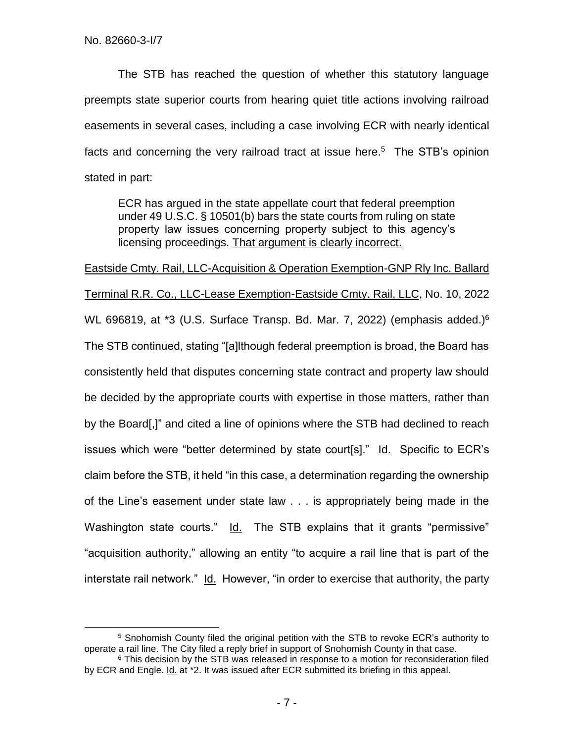$\overline{a}$ 

The STB has reached the question of whether this statutory language preempts state superior courts from hearing quiet title actions involving railroad easements in several cases, including a case involving ECR with nearly identical facts and concerning the very railroad tract at issue here. <sup>5</sup> The STB's opinion stated in part:

ECR has argued in the state appellate court that federal preemption under 49 U.S.C. § 10501(b) bars the state courts from ruling on state property law issues concerning property subject to this agency's licensing proceedings. That argument is clearly incorrect.

Eastside Cmty. Rail, LLC-Acquisition & Operation Exemption-GNP Rly Inc. Ballard Terminal R.R. Co., LLC-Lease Exemption-Eastside Cmty. Rail, LLC, No. 10, 2022 WL 696819, at \*3 (U.S. Surface Transp. Bd. Mar. 7, 2022) (emphasis added.)<sup>6</sup> The STB continued, stating "[a]lthough federal preemption is broad, the Board has consistently held that disputes concerning state contract and property law should be decided by the appropriate courts with expertise in those matters, rather than by the Board[,]" and cited a line of opinions where the STB had declined to reach issues which were "better determined by state court[s]." Id. Specific to ECR's claim before the STB, it held "in this case, a determination regarding the ownership of the Line's easement under state law . . . is appropriately being made in the Washington state courts." Id. The STB explains that it grants "permissive" "acquisition authority," allowing an entity "to acquire a rail line that is part of the interstate rail network." Id. However, "in order to exercise that authority, the party

<sup>5</sup> Snohomish County filed the original petition with the STB to revoke ECR's authority to operate a rail line. The City filed a reply brief in support of Snohomish County in that case.

 $6$  This decision by the STB was released in response to a motion for reconsideration filed by ECR and Engle. *Id.* at \*2. It was issued after ECR submitted its briefing in this appeal.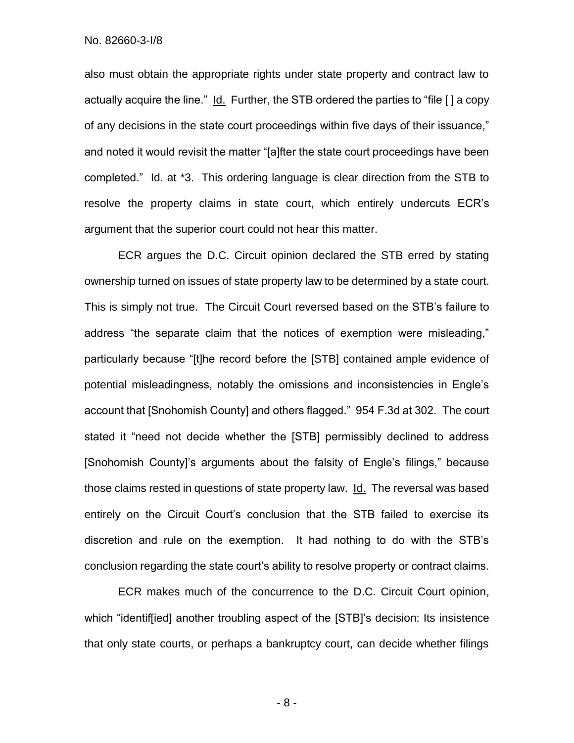No. 82660-3-I/8

also must obtain the appropriate rights under state property and contract law to actually acquire the line." Id. Further, the STB ordered the parties to "file [ ] a copy of any decisions in the state court proceedings within five days of their issuance," and noted it would revisit the matter "[a]fter the state court proceedings have been completed." Id. at \*3. This ordering language is clear direction from the STB to resolve the property claims in state court, which entirely undercuts ECR's argument that the superior court could not hear this matter.

ECR argues the D.C. Circuit opinion declared the STB erred by stating ownership turned on issues of state property law to be determined by a state court. This is simply not true. The Circuit Court reversed based on the STB's failure to address "the separate claim that the notices of exemption were misleading," particularly because "[t]he record before the [STB] contained ample evidence of potential misleadingness, notably the omissions and inconsistencies in Engle's account that [Snohomish County] and others flagged." 954 F.3d at 302. The court stated it "need not decide whether the [STB] permissibly declined to address [Snohomish County]'s arguments about the falsity of Engle's filings," because those claims rested in questions of state property law. Id. The reversal was based entirely on the Circuit Court's conclusion that the STB failed to exercise its discretion and rule on the exemption. It had nothing to do with the STB's conclusion regarding the state court's ability to resolve property or contract claims.

ECR makes much of the concurrence to the D.C. Circuit Court opinion, which "identif[ied] another troubling aspect of the [STB]'s decision: Its insistence that only state courts, or perhaps a bankruptcy court, can decide whether filings

- 8 -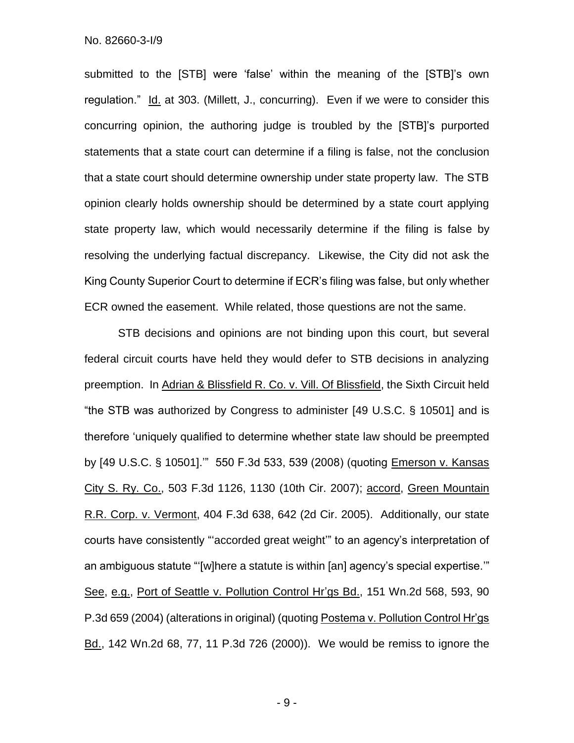submitted to the [STB] were 'false' within the meaning of the [STB]'s own regulation." Id. at 303. (Millett, J., concurring). Even if we were to consider this concurring opinion, the authoring judge is troubled by the [STB]'s purported statements that a state court can determine if a filing is false, not the conclusion that a state court should determine ownership under state property law. The STB opinion clearly holds ownership should be determined by a state court applying state property law, which would necessarily determine if the filing is false by resolving the underlying factual discrepancy. Likewise, the City did not ask the King County Superior Court to determine if ECR's filing was false, but only whether ECR owned the easement. While related, those questions are not the same.

STB decisions and opinions are not binding upon this court, but several federal circuit courts have held they would defer to STB decisions in analyzing preemption. In Adrian & Blissfield R. Co. v. Vill. Of Blissfield, the Sixth Circuit held "the STB was authorized by Congress to administer [49 U.S.C. § 10501] and is therefore 'uniquely qualified to determine whether state law should be preempted by [49 U.S.C. § 10501].'" 550 F.3d 533, 539 (2008) (quoting Emerson v. Kansas City S. Ry. Co., 503 F.3d 1126, 1130 (10th Cir. 2007); accord, Green Mountain R.R. Corp. v. Vermont, 404 F.3d 638, 642 (2d Cir. 2005). Additionally, our state courts have consistently "'accorded great weight'" to an agency's interpretation of an ambiguous statute "'[w]here a statute is within [an] agency's special expertise.'" See, e.g., Port of Seattle v. Pollution Control Hr'gs Bd., 151 Wn.2d 568, 593, 90 P.3d 659 (2004) (alterations in original) (quoting Postema v. Pollution Control Hr'gs Bd., 142 Wn.2d 68, 77, 11 P.3d 726 (2000)). We would be remiss to ignore the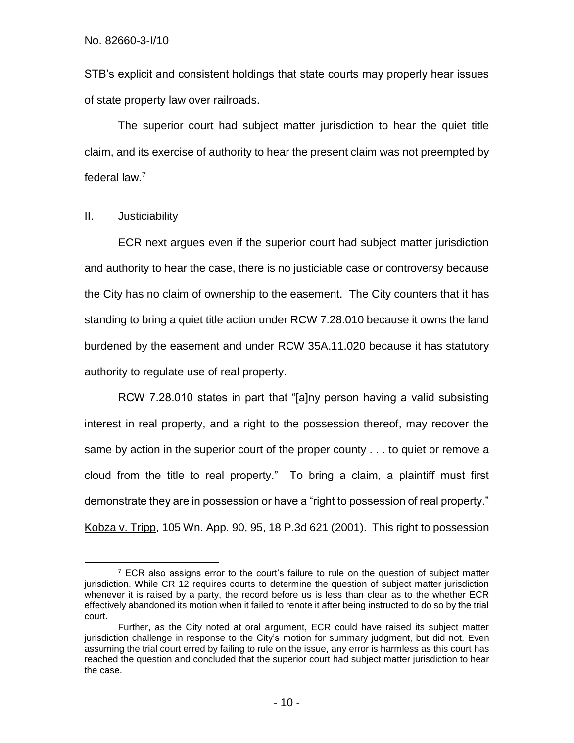No. 82660-3-I/10

STB's explicit and consistent holdings that state courts may properly hear issues of state property law over railroads.

The superior court had subject matter jurisdiction to hear the quiet title claim, and its exercise of authority to hear the present claim was not preempted by federal law.<sup>7</sup>

## II. Justiciability

 $\overline{a}$ 

ECR next argues even if the superior court had subject matter jurisdiction and authority to hear the case, there is no justiciable case or controversy because the City has no claim of ownership to the easement. The City counters that it has standing to bring a quiet title action under RCW 7.28.010 because it owns the land burdened by the easement and under RCW 35A.11.020 because it has statutory authority to regulate use of real property.

RCW 7.28.010 states in part that "[a]ny person having a valid subsisting interest in real property, and a right to the possession thereof, may recover the same by action in the superior court of the proper county . . . to quiet or remove a cloud from the title to real property." To bring a claim, a plaintiff must first demonstrate they are in possession or have a "right to possession of real property." Kobza v. Tripp, 105 Wn. App. 90, 95, 18 P.3d 621 (2001). This right to possession

<sup>&</sup>lt;sup>7</sup> ECR also assigns error to the court's failure to rule on the question of subject matter jurisdiction. While CR 12 requires courts to determine the question of subject matter jurisdiction whenever it is raised by a party, the record before us is less than clear as to the whether ECR effectively abandoned its motion when it failed to renote it after being instructed to do so by the trial court.

Further, as the City noted at oral argument, ECR could have raised its subject matter jurisdiction challenge in response to the City's motion for summary judgment, but did not. Even assuming the trial court erred by failing to rule on the issue, any error is harmless as this court has reached the question and concluded that the superior court had subject matter jurisdiction to hear the case.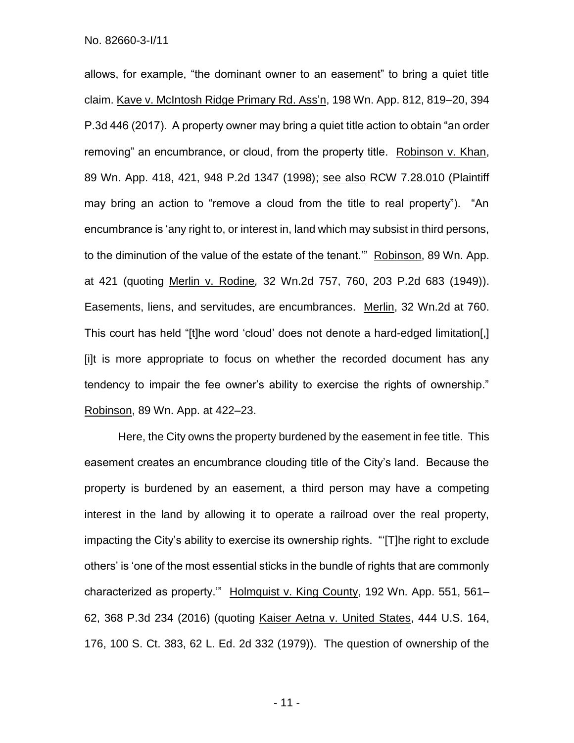allows, for example, "the dominant owner to an easement" to bring a quiet title claim. Kave v. McIntosh Ridge Primary Rd. Ass'n, 198 Wn. App. 812, 819–20, 394 P.3d 446 (2017). A property owner may bring a quiet title action to obtain "an order removing" an encumbrance, or cloud, from the property title. Robinson v. Khan, 89 Wn. App. 418, 421, 948 P.2d 1347 (1998); see also RCW 7.28.010 (Plaintiff may bring an action to "remove a cloud from the title to real property"). "An encumbrance is 'any right to, or interest in, land which may subsist in third persons, to the diminution of the value of the estate of the tenant.'" Robinson, 89 Wn. App. at 421 (quoting Merlin v. Rodine*,* 32 Wn.2d 757, 760, 203 P.2d 683 (1949)). Easements, liens, and servitudes, are encumbrances. Merlin, 32 Wn.2d at 760. This court has held "[t]he word 'cloud' does not denote a hard-edged limitation[,] [i]t is more appropriate to focus on whether the recorded document has any tendency to impair the fee owner's ability to exercise the rights of ownership." Robinson, 89 Wn. App. at 422–23.

Here, the City owns the property burdened by the easement in fee title. This easement creates an encumbrance clouding title of the City's land. Because the property is burdened by an easement, a third person may have a competing interest in the land by allowing it to operate a railroad over the real property, impacting the City's ability to exercise its ownership rights. "'[T]he right to exclude others' is 'one of the most essential sticks in the bundle of rights that are commonly characterized as property." Holmquist v. King County, 192 Wn. App. 551, 561-62, 368 P.3d 234 (2016) (quoting Kaiser Aetna v. United States, 444 U.S. 164, 176, 100 S. Ct. 383, 62 L. Ed. 2d 332 (1979)). The question of ownership of the

- 11 -